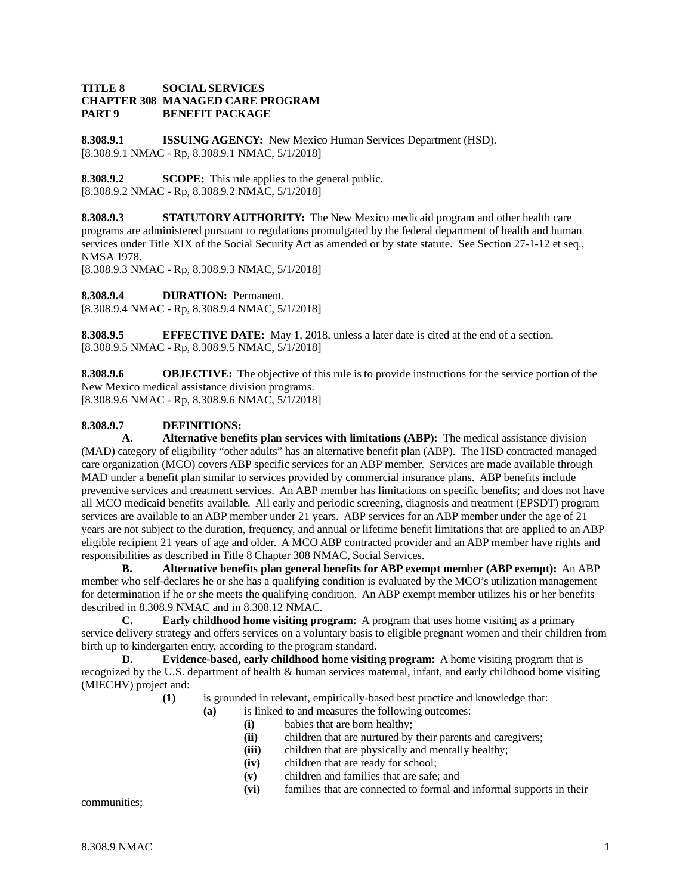#### **TITLE 8 SOCIAL SERVICES CHAPTER 308 MANAGED CARE PROGRAM BENEFIT PACKAGE**

**8.308.9.1 ISSUING AGENCY:** New Mexico Human Services Department (HSD). [8.308.9.1 NMAC - Rp, 8.308.9.1 NMAC, 5/1/2018]

**8.308.9.2 SCOPE:** This rule applies to the general public. [8.308.9.2 NMAC - Rp, 8.308.9.2 NMAC, 5/1/2018]

**8.308.9.3 STATUTORY AUTHORITY:** The New Mexico medicaid program and other health care programs are administered pursuant to regulations promulgated by the federal department of health and human services under Title XIX of the Social Security Act as amended or by state statute. See Section 27-1-12 et seq., NMSA 1978.

[8.308.9.3 NMAC - Rp, 8.308.9.3 NMAC, 5/1/2018]

**8.308.9.4 DURATION:** Permanent. [8.308.9.4 NMAC - Rp, 8.308.9.4 NMAC, 5/1/2018]

**8.308.9.5 EFFECTIVE DATE:** May 1, 2018, unless a later date is cited at the end of a section. [8.308.9.5 NMAC - Rp, 8.308.9.5 NMAC, 5/1/2018]

**8.308.9.6 OBJECTIVE:** The objective of this rule is to provide instructions for the service portion of the New Mexico medical assistance division programs. [8.308.9.6 NMAC - Rp, 8.308.9.6 NMAC, 5/1/2018]

### **8.308.9.7 DEFINITIONS:**

**A. Alternative benefits plan services with limitations (ABP):** The medical assistance division (MAD) category of eligibility "other adults" has an alternative benefit plan (ABP). The HSD contracted managed care organization (MCO) covers ABP specific services for an ABP member. Services are made available through MAD under a benefit plan similar to services provided by commercial insurance plans. ABP benefits include preventive services and treatment services. An ABP member has limitations on specific benefits; and does not have all MCO medicaid benefits available. All early and periodic screening, diagnosis and treatment (EPSDT) program services are available to an ABP member under 21 years. ABP services for an ABP member under the age of 21 years are not subject to the duration, frequency, and annual or lifetime benefit limitations that are applied to an ABP eligible recipient 21 years of age and older. A MCO ABP contracted provider and an ABP member have rights and responsibilities as described in Title 8 Chapter 308 NMAC, Social Services.

**B. Alternative benefits plan general benefits for ABP exempt member (ABP exempt):** An ABP member who self-declares he or she has a qualifying condition is evaluated by the MCO's utilization management for determination if he or she meets the qualifying condition. An ABP exempt member utilizes his or her benefits described in 8.308.9 NMAC and in 8.308.12 NMAC.<br> **C.** Early childhood home visiting pro-

**Early childhood home visiting program:** A program that uses home visiting as a primary service delivery strategy and offers services on a voluntary basis to eligible pregnant women and their children from birth up to kindergarten entry, according to the program standard.

**D. Evidence-based, early childhood home visiting program:** A home visiting program that is recognized by the U.S. department of health & human services maternal, infant, and early childhood home visiting (MIECHV) project and:

- **(1)** is grounded in relevant, empirically-based best practice and knowledge that:
	- **(a)** is linked to and measures the following outcomes:
		- **(i)** babies that are born healthy;
		- **(ii)** children that are nurtured by their parents and caregivers;
		- **(iii)** children that are physically and mentally healthy;
		- **(iv)** children that are ready for school;
		- **(v)** children and families that are safe; and
		- **(vi)** families that are connected to formal and informal supports in their

communities;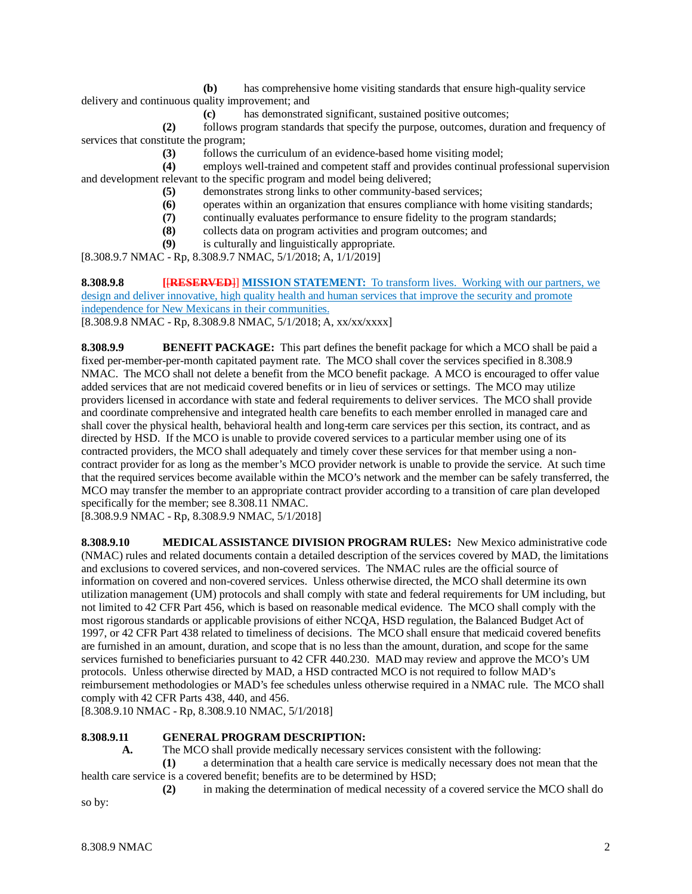**(b)** has comprehensive home visiting standards that ensure high-quality service

delivery and continuous quality improvement; and

**(c)** has demonstrated significant, sustained positive outcomes;

**(2)** follows program standards that specify the purpose, outcomes, duration and frequency of services that constitute the program;

**(3)** follows the curriculum of an evidence-based home visiting model;

**(4)** employs well-trained and competent staff and provides continual professional supervision and development relevant to the specific program and model being delivered;

- **(5)** demonstrates strong links to other community-based services;
- **(6)** operates within an organization that ensures compliance with home visiting standards;
- **(7)** continually evaluates performance to ensure fidelity to the program standards;
	- **(8)** collects data on program activities and program outcomes; and
- **(9)** is culturally and linguistically appropriate.

[8.308.9.7 NMAC - Rp, 8.308.9.7 NMAC, 5/1/2018; A, 1/1/2019]

**8.308.9.8 [**[**RESERVED**]] **MISSION STATEMENT:** To transform lives. Working with our partners, we design and deliver innovative, high quality health and human services that improve the security and promote independence for New Mexicans in their communities. [8.308.9.8 NMAC - Rp, 8.308.9.8 NMAC, 5/1/2018; A, xx/xx/xxxx]

**8.308.9.9 BENEFIT PACKAGE:** This part defines the benefit package for which a MCO shall be paid a fixed per-member-per-month capitated payment rate. The MCO shall cover the services specified in 8.308.9 NMAC. The MCO shall not delete a benefit from the MCO benefit package. A MCO is encouraged to offer value added services that are not medicaid covered benefits or in lieu of services or settings. The MCO may utilize providers licensed in accordance with state and federal requirements to deliver services. The MCO shall provide and coordinate comprehensive and integrated health care benefits to each member enrolled in managed care and shall cover the physical health, behavioral health and long-term care services per this section, its contract, and as directed by HSD. If the MCO is unable to provide covered services to a particular member using one of its contracted providers, the MCO shall adequately and timely cover these services for that member using a noncontract provider for as long as the member's MCO provider network is unable to provide the service. At such time that the required services become available within the MCO's network and the member can be safely transferred, the MCO may transfer the member to an appropriate contract provider according to a transition of care plan developed specifically for the member; see 8.308.11 NMAC.

[8.308.9.9 NMAC - Rp, 8.308.9.9 NMAC, 5/1/2018]

**8.308.9.10 MEDICAL ASSISTANCE DIVISION PROGRAM RULES:** New Mexico administrative code (NMAC) rules and related documents contain a detailed description of the services covered by MAD, the limitations and exclusions to covered services, and non-covered services. The NMAC rules are the official source of information on covered and non-covered services. Unless otherwise directed, the MCO shall determine its own utilization management (UM) protocols and shall comply with state and federal requirements for UM including, but not limited to 42 CFR Part 456, which is based on reasonable medical evidence. The MCO shall comply with the most rigorous standards or applicable provisions of either NCQA, HSD regulation, the Balanced Budget Act of 1997, or 42 CFR Part 438 related to timeliness of decisions. The MCO shall ensure that medicaid covered benefits are furnished in an amount, duration, and scope that is no less than the amount, duration, and scope for the same services furnished to beneficiaries pursuant to 42 CFR 440.230. MAD may review and approve the MCO's UM protocols. Unless otherwise directed by MAD, a HSD contracted MCO is not required to follow MAD's reimbursement methodologies or MAD's fee schedules unless otherwise required in a NMAC rule. The MCO shall comply with 42 CFR Parts 438, 440, and 456.

[8.308.9.10 NMAC - Rp, 8.308.9.10 NMAC, 5/1/2018]

## **8.308.9.11 GENERAL PROGRAM DESCRIPTION:**

**A.** The MCO shall provide medically necessary services consistent with the following:

**(1)** a determination that a health care service is medically necessary does not mean that the health care service is a covered benefit; benefits are to be determined by HSD;

**(2)** in making the determination of medical necessity of a covered service the MCO shall do

so by: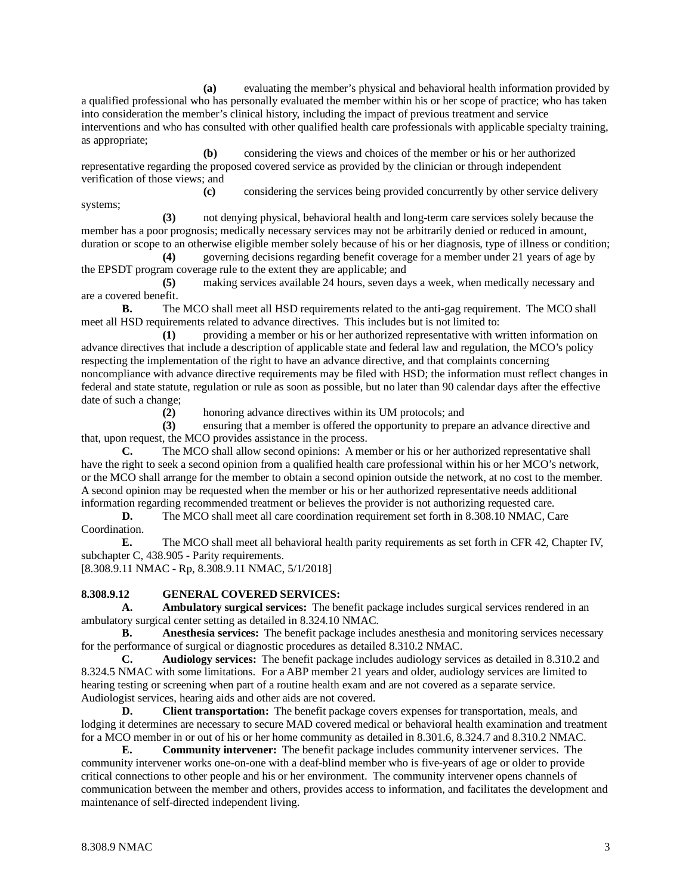**(a)** evaluating the member's physical and behavioral health information provided by a qualified professional who has personally evaluated the member within his or her scope of practice; who has taken into consideration the member's clinical history, including the impact of previous treatment and service interventions and who has consulted with other qualified health care professionals with applicable specialty training, as appropriate;

**(b)** considering the views and choices of the member or his or her authorized representative regarding the proposed covered service as provided by the clinician or through independent verification of those views; and

**(c)** considering the services being provided concurrently by other service delivery systems;

**(3)** not denying physical, behavioral health and long-term care services solely because the member has a poor prognosis; medically necessary services may not be arbitrarily denied or reduced in amount, duration or scope to an otherwise eligible member solely because of his or her diagnosis, type of illness or condition;

**(4)** governing decisions regarding benefit coverage for a member under 21 years of age by the EPSDT program coverage rule to the extent they are applicable; and

**(5)** making services available 24 hours, seven days a week, when medically necessary and are a covered benefit.

**B.** The MCO shall meet all HSD requirements related to the anti-gag requirement. The MCO shall meet all HSD requirements related to advance directives. This includes but is not limited to:

**(1)** providing a member or his or her authorized representative with written information on advance directives that include a description of applicable state and federal law and regulation, the MCO's policy respecting the implementation of the right to have an advance directive, and that complaints concerning noncompliance with advance directive requirements may be filed with HSD; the information must reflect changes in federal and state statute, regulation or rule as soon as possible, but no later than 90 calendar days after the effective date of such a change;

**(2)** honoring advance directives within its UM protocols; and

**(3)** ensuring that a member is offered the opportunity to prepare an advance directive and that, upon request, the MCO provides assistance in the process.

**C.** The MCO shall allow second opinions: A member or his or her authorized representative shall have the right to seek a second opinion from a qualified health care professional within his or her MCO's network, or the MCO shall arrange for the member to obtain a second opinion outside the network, at no cost to the member. A second opinion may be requested when the member or his or her authorized representative needs additional information regarding recommended treatment or believes the provider is not authorizing requested care.

**D.** The MCO shall meet all care coordination requirement set forth in 8.308.10 NMAC, Care Coordination.

**E.** The MCO shall meet all behavioral health parity requirements as set forth in CFR 42, Chapter IV, subchapter C, 438.905 - Parity requirements.

[8.308.9.11 NMAC - Rp, 8.308.9.11 NMAC, 5/1/2018]

## **8.308.9.12 GENERAL COVERED SERVICES:**

**A. Ambulatory surgical services:** The benefit package includes surgical services rendered in an ambulatory surgical center setting as detailed in 8.324.10 NMAC.

**B. Anesthesia services:** The benefit package includes anesthesia and monitoring services necessary for the performance of surgical or diagnostic procedures as detailed 8.310.2 NMAC.

**C. Audiology services:** The benefit package includes audiology services as detailed in 8.310.2 and 8.324.5 NMAC with some limitations. For a ABP member 21 years and older, audiology services are limited to hearing testing or screening when part of a routine health exam and are not covered as a separate service. Audiologist services, hearing aids and other aids are not covered.

**D. Client transportation:** The benefit package covers expenses for transportation, meals, and lodging it determines are necessary to secure MAD covered medical or behavioral health examination and treatment for a MCO member in or out of his or her home community as detailed in 8.301.6, 8.324.7 and 8.310.2 NMAC.

**E. Community intervener:** The benefit package includes community intervener services. The community intervener works one-on-one with a deaf-blind member who is five-years of age or older to provide critical connections to other people and his or her environment. The community intervener opens channels of communication between the member and others, provides access to information, and facilitates the development and maintenance of self-directed independent living.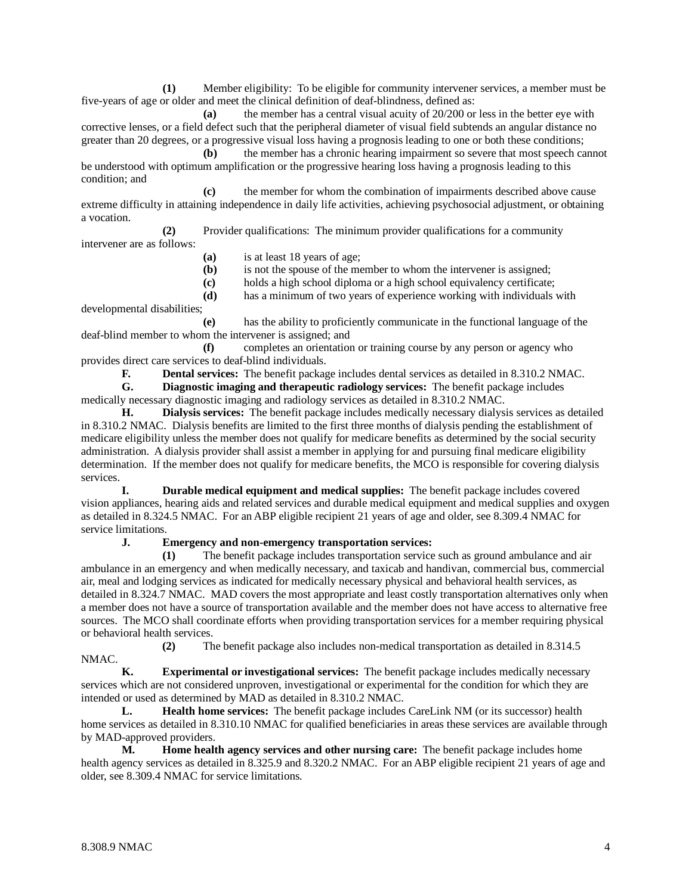**(1)** Member eligibility: To be eligible for community intervener services, a member must be five-years of age or older and meet the clinical definition of deaf-blindness, defined as:

**(a)** the member has a central visual acuity of 20/200 or less in the better eye with corrective lenses, or a field defect such that the peripheral diameter of visual field subtends an angular distance no greater than 20 degrees, or a progressive visual loss having a prognosis leading to one or both these conditions;

**(b)** the member has a chronic hearing impairment so severe that most speech cannot be understood with optimum amplification or the progressive hearing loss having a prognosis leading to this condition; and

**(c)** the member for whom the combination of impairments described above cause extreme difficulty in attaining independence in daily life activities, achieving psychosocial adjustment, or obtaining a vocation.

**(2)** Provider qualifications: The minimum provider qualifications for a community intervener are as follows:

- **(a)** is at least 18 years of age;
- **(b)** is not the spouse of the member to whom the intervener is assigned;
- **(c)** holds a high school diploma or a high school equivalency certificate;
- **(d)** has a minimum of two years of experience working with individuals with

developmental disabilities;

**(e)** has the ability to proficiently communicate in the functional language of the deaf-blind member to whom the intervener is assigned; and

**(f)** completes an orientation or training course by any person or agency who provides direct care services to deaf-blind individuals.

**F. Dental services:** The benefit package includes dental services as detailed in 8.310.2 NMAC.<br>**G. Diagnostic imaging and therapeutic radiology services:** The benefit package includes

**G. Diagnostic imaging and therapeutic radiology services:** The benefit package includes medically necessary diagnostic imaging and radiology services as detailed in 8.310.2 NMAC.

**H. Dialysis services:** The benefit package includes medically necessary dialysis services as detailed in 8.310.2 NMAC. Dialysis benefits are limited to the first three months of dialysis pending the establishment of medicare eligibility unless the member does not qualify for medicare benefits as determined by the social security administration. A dialysis provider shall assist a member in applying for and pursuing final medicare eligibility determination. If the member does not qualify for medicare benefits, the MCO is responsible for covering dialysis services.

**I. Durable medical equipment and medical supplies:** The benefit package includes covered vision appliances, hearing aids and related services and durable medical equipment and medical supplies and oxygen as detailed in 8.324.5 NMAC. For an ABP eligible recipient 21 years of age and older, see 8.309.4 NMAC for service limitations.

#### **J. Emergency and non-emergency transportation services:**

**(1)** The benefit package includes transportation service such as ground ambulance and air ambulance in an emergency and when medically necessary, and taxicab and handivan, commercial bus, commercial air, meal and lodging services as indicated for medically necessary physical and behavioral health services, as detailed in 8.324.7 NMAC. MAD covers the most appropriate and least costly transportation alternatives only when a member does not have a source of transportation available and the member does not have access to alternative free sources. The MCO shall coordinate efforts when providing transportation services for a member requiring physical or behavioral health services.

**(2)** The benefit package also includes non-medical transportation as detailed in 8.314.5

**K. Experimental or investigational services:** The benefit package includes medically necessary services which are not considered unproven, investigational or experimental for the condition for which they are intended or used as determined by MAD as detailed in 8.310.2 NMAC.

**L. Health home services:** The benefit package includes CareLink NM (or its successor) health home services as detailed in 8.310.10 NMAC for qualified beneficiaries in areas these services are available through by MAD-approved providers.

**M. Home health agency services and other nursing care:** The benefit package includes home health agency services as detailed in 8.325.9 and 8.320.2 NMAC. For an ABP eligible recipient 21 years of age and older, see 8.309.4 NMAC for service limitations.

NMAC.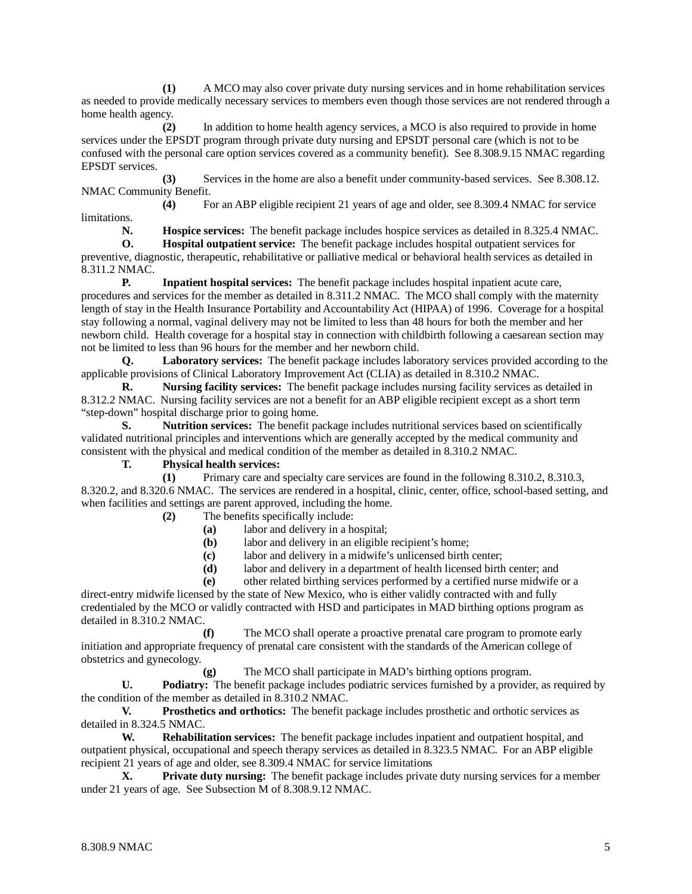**(1)** A MCO may also cover private duty nursing services and in home rehabilitation services as needed to provide medically necessary services to members even though those services are not rendered through a home health agency.

**(2)** In addition to home health agency services, a MCO is also required to provide in home services under the EPSDT program through private duty nursing and EPSDT personal care (which is not to be confused with the personal care option services covered as a community benefit). See 8.308.9.15 NMAC regarding EPSDT services.

**(3)** Services in the home are also a benefit under community-based services. See 8.308.12. NMAC Community Benefit.

**(4)** For an ABP eligible recipient 21 years of age and older, see 8.309.4 NMAC for service limitations.

**N. Hospice services:** The benefit package includes hospice services as detailed in 8.325.4 NMAC.

**O. Hospital outpatient service:** The benefit package includes hospital outpatient services for preventive, diagnostic, therapeutic, rehabilitative or palliative medical or behavioral health services as detailed in 8.311.2 NMAC.

**P. Inpatient hospital services:** The benefit package includes hospital inpatient acute care, procedures and services for the member as detailed in 8.311.2 NMAC. The MCO shall comply with the maternity length of stay in the Health Insurance Portability and Accountability Act (HIPAA) of 1996. Coverage for a hospital stay following a normal, vaginal delivery may not be limited to less than 48 hours for both the member and her newborn child. Health coverage for a hospital stay in connection with childbirth following a caesarean section may not be limited to less than 96 hours for the member and her newborn child.

**Q. Laboratory services:** The benefit package includes laboratory services provided according to the applicable provisions of Clinical Laboratory Improvement Act (CLIA) as detailed in 8.310.2 NMAC.

**R. Nursing facility services:** The benefit package includes nursing facility services as detailed in 8.312.2 NMAC. Nursing facility services are not a benefit for an ABP eligible recipient except as a short term "step-down" hospital discharge prior to going home.

**S. Nutrition services:** The benefit package includes nutritional services based on scientifically validated nutritional principles and interventions which are generally accepted by the medical community and consistent with the physical and medical condition of the member as detailed in 8.310.2 NMAC.

**T. Physical health services:**

**(1)** Primary care and specialty care services are found in the following 8.310.2, 8.310.3, 8.320.2, and 8.320.6 NMAC. The services are rendered in a hospital, clinic, center, office, school-based setting, and when facilities and settings are parent approved, including the home.

**(2)** The benefits specifically include:

- **(a)** labor and delivery in a hospital;
- **(b)** labor and delivery in an eligible recipient's home;
- **(c)** labor and delivery in a midwife's unlicensed birth center;
- **(d)** labor and delivery in a department of health licensed birth center; and

**(e)** other related birthing services performed by a certified nurse midwife or a

direct-entry midwife licensed by the state of New Mexico, who is either validly contracted with and fully credentialed by the MCO or validly contracted with HSD and participates in MAD birthing options program as detailed in 8.310.2 NMAC.

**(f)** The MCO shall operate a proactive prenatal care program to promote early initiation and appropriate frequency of prenatal care consistent with the standards of the American college of obstetrics and gynecology.

**(g)** The MCO shall participate in MAD's birthing options program.

**U. Podiatry:** The benefit package includes podiatric services furnished by a provider, as required by the condition of the member as detailed in 8.310.2 NMAC.

**V. Prosthetics and orthotics:** The benefit package includes prosthetic and orthotic services as detailed in 8.324.5 NMAC.

**W. Rehabilitation services:** The benefit package includes inpatient and outpatient hospital, and outpatient physical, occupational and speech therapy services as detailed in 8.323.5 NMAC. For an ABP eligible recipient 21 years of age and older, see 8.309.4 NMAC for service limitations

**X. Private duty nursing:** The benefit package includes private duty nursing services for a member under 21 years of age. See Subsection M of 8.308.9.12 NMAC.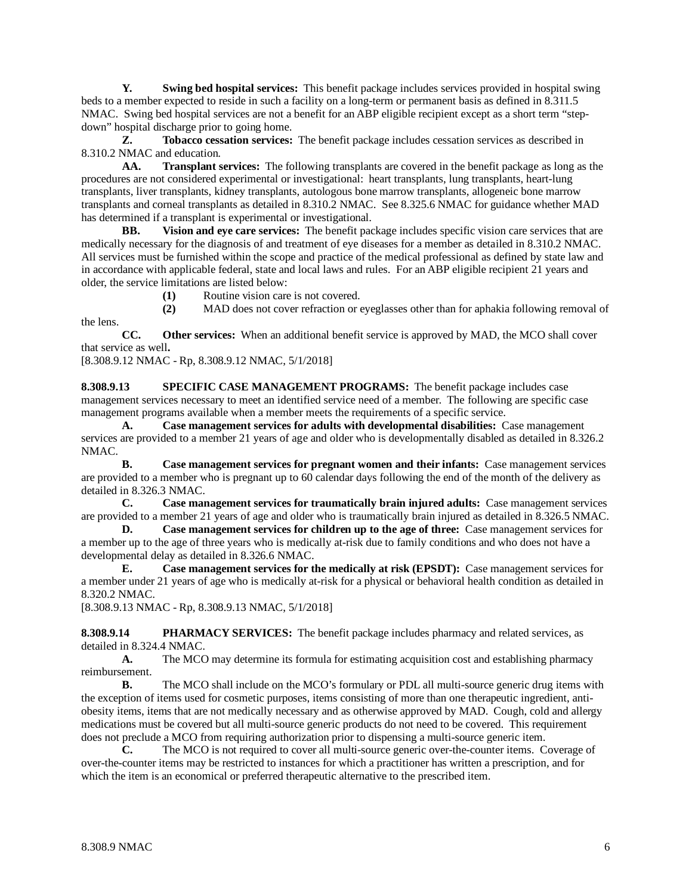**Y. Swing bed hospital services:** This benefit package includes services provided in hospital swing beds to a member expected to reside in such a facility on a long-term or permanent basis as defined in 8.311.5 NMAC. Swing bed hospital services are not a benefit for an ABP eligible recipient except as a short term "stepdown" hospital discharge prior to going home.

**Z. Tobacco cessation services:** The benefit package includes cessation services as described in 8.310.2 NMAC and education.

**AA. Transplant services:** The following transplants are covered in the benefit package as long as the procedures are not considered experimental or investigational: heart transplants, lung transplants, heart-lung transplants, liver transplants, kidney transplants, autologous bone marrow transplants, allogeneic bone marrow transplants and corneal transplants as detailed in 8.310.2 NMAC. See 8.325.6 NMAC for guidance whether MAD has determined if a transplant is experimental or investigational.

**BB. Vision and eye care services:** The benefit package includes specific vision care services that are medically necessary for the diagnosis of and treatment of eye diseases for a member as detailed in 8.310.2 NMAC. All services must be furnished within the scope and practice of the medical professional as defined by state law and in accordance with applicable federal, state and local laws and rules. For an ABP eligible recipient 21 years and older, the service limitations are listed below:

**(1)** Routine vision care is not covered.

**(2)** MAD does not cover refraction or eyeglasses other than for aphakia following removal of

**CC. Other services:** When an additional benefit service is approved by MAD, the MCO shall cover that service as well**.**

[8.308.9.12 NMAC - Rp, 8.308.9.12 NMAC, 5/1/2018]

the lens.

**8.308.9.13 SPECIFIC CASE MANAGEMENT PROGRAMS:** The benefit package includes case management services necessary to meet an identified service need of a member. The following are specific case management programs available when a member meets the requirements of a specific service.

**A. Case management services for adults with developmental disabilities:** Case management services are provided to a member 21 years of age and older who is developmentally disabled as detailed in 8.326.2 NMAC.

**B. Case management services for pregnant women and their infants:** Case management services are provided to a member who is pregnant up to 60 calendar days following the end of the month of the delivery as detailed in 8.326.3 NMAC.

**C. Case management services for traumatically brain injured adults:** Case management services are provided to a member 21 years of age and older who is traumatically brain injured as detailed in 8.326.5 NMAC.

**D. Case management services for children up to the age of three:** Case management services for a member up to the age of three years who is medically at-risk due to family conditions and who does not have a developmental delay as detailed in 8.326.6 NMAC.

**E. Case management services for the medically at risk (EPSDT):** Case management services for a member under 21 years of age who is medically at-risk for a physical or behavioral health condition as detailed in 8.320.2 NMAC.

[8.308.9.13 NMAC - Rp, 8.308.9.13 NMAC, 5/1/2018]

**8.308.9.14 PHARMACY SERVICES:** The benefit package includes pharmacy and related services, as detailed in 8.324.4 NMAC.

**A.** The MCO may determine its formula for estimating acquisition cost and establishing pharmacy reimbursement.

**B.** The MCO shall include on the MCO's formulary or PDL all multi-source generic drug items with the exception of items used for cosmetic purposes, items consisting of more than one therapeutic ingredient, antiobesity items, items that are not medically necessary and as otherwise approved by MAD. Cough, cold and allergy medications must be covered but all multi-source generic products do not need to be covered. This requirement does not preclude a MCO from requiring authorization prior to dispensing a multi-source generic item.

**C.** The MCO is not required to cover all multi-source generic over-the-counter items. Coverage of over-the-counter items may be restricted to instances for which a practitioner has written a prescription, and for which the item is an economical or preferred therapeutic alternative to the prescribed item.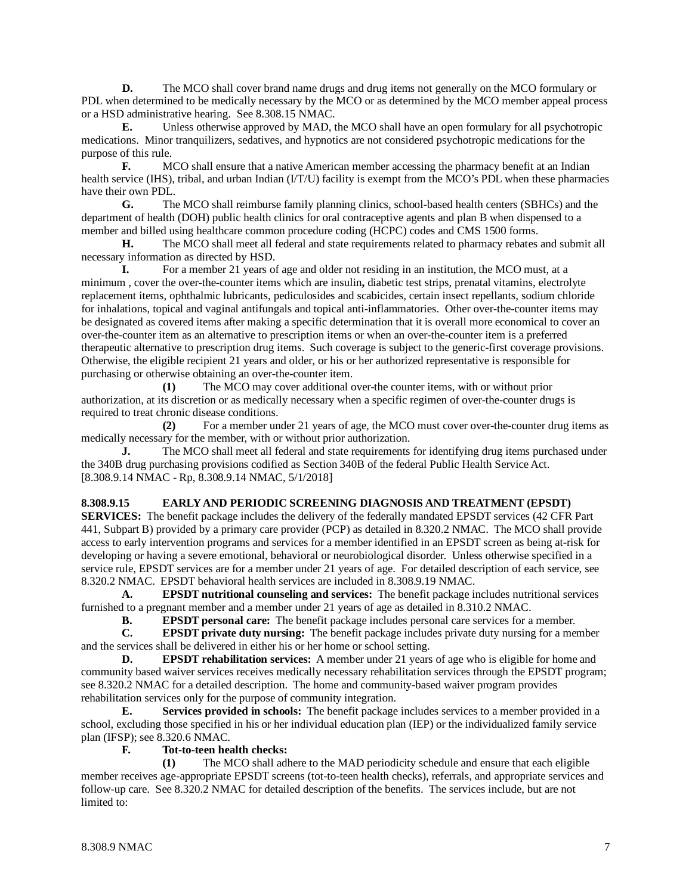**D.** The MCO shall cover brand name drugs and drug items not generally on the MCO formulary or PDL when determined to be medically necessary by the MCO or as determined by the MCO member appeal process or a HSD administrative hearing. See 8.308.15 NMAC.

**E.** Unless otherwise approved by MAD, the MCO shall have an open formulary for all psychotropic medications. Minor tranquilizers, sedatives, and hypnotics are not considered psychotropic medications for the purpose of this rule.

**F.** MCO shall ensure that a native American member accessing the pharmacy benefit at an Indian health service (IHS), tribal, and urban Indian (I/T/U) facility is exempt from the MCO's PDL when these pharmacies have their own PDL.

**G.** The MCO shall reimburse family planning clinics, school-based health centers (SBHCs) and the department of health (DOH) public health clinics for oral contraceptive agents and plan B when dispensed to a member and billed using healthcare common procedure coding (HCPC) codes and CMS 1500 forms.

**H.** The MCO shall meet all federal and state requirements related to pharmacy rebates and submit all necessary information as directed by HSD.

**I.** For a member 21 years of age and older not residing in an institution, the MCO must, at a minimum , cover the over-the-counter items which are insulin**,** diabetic test strips, prenatal vitamins, electrolyte replacement items, ophthalmic lubricants, pediculosides and scabicides, certain insect repellants, sodium chloride for inhalations, topical and vaginal antifungals and topical anti-inflammatories. Other over-the-counter items may be designated as covered items after making a specific determination that it is overall more economical to cover an over-the-counter item as an alternative to prescription items or when an over-the-counter item is a preferred therapeutic alternative to prescription drug items. Such coverage is subject to the generic-first coverage provisions. Otherwise, the eligible recipient 21 years and older, or his or her authorized representative is responsible for purchasing or otherwise obtaining an over-the-counter item.

**(1)** The MCO may cover additional over-the counter items, with or without prior authorization, at its discretion or as medically necessary when a specific regimen of over-the-counter drugs is required to treat chronic disease conditions.

**(2)** For a member under 21 years of age, the MCO must cover over-the-counter drug items as medically necessary for the member, with or without prior authorization.

**J.** The MCO shall meet all federal and state requirements for identifying drug items purchased under the 340B drug purchasing provisions codified as Section 340B of the federal Public Health Service Act. [8.308.9.14 NMAC - Rp, 8.308.9.14 NMAC, 5/1/2018]

#### **8.308.9.15 EARLY AND PERIODIC SCREENING DIAGNOSIS AND TREATMENT (EPSDT)**

**SERVICES:** The benefit package includes the delivery of the federally mandated EPSDT services (42 CFR Part 441, Subpart B) provided by a primary care provider (PCP) as detailed in 8.320.2 NMAC. The MCO shall provide access to early intervention programs and services for a member identified in an EPSDT screen as being at-risk for developing or having a severe emotional, behavioral or neurobiological disorder. Unless otherwise specified in a service rule, EPSDT services are for a member under 21 years of age. For detailed description of each service, see 8.320.2 NMAC. EPSDT behavioral health services are included in 8.308.9.19 NMAC.

**A. EPSDT nutritional counseling and services:** The benefit package includes nutritional services furnished to a pregnant member and a member under 21 years of age as detailed in 8.310.2 NMAC.<br> **B.** EPSDT personal care: The benefit package includes personal care services for a

**B. EPSDT personal care:** The benefit package includes personal care services for a member.<br>**C. EPSDT private duty nursing:** The benefit package includes private duty nursing for a member.

**EPSDT** private duty nursing: The benefit package includes private duty nursing for a member and the services shall be delivered in either his or her home or school setting.

**D. EPSDT rehabilitation services:** A member under 21 years of age who is eligible for home and community based waiver services receives medically necessary rehabilitation services through the EPSDT program; see 8.320.2 NMAC for a detailed description. The home and community-based waiver program provides rehabilitation services only for the purpose of community integration.

**E. Services provided in schools:** The benefit package includes services to a member provided in a school, excluding those specified in his or her individual education plan (IEP) or the individualized family service plan (IFSP); see 8.320.6 NMAC.<br>F. Tot-to-teen hes

#### **F. Tot-to-teen health checks:**

**(1)** The MCO shall adhere to the MAD periodicity schedule and ensure that each eligible member receives age-appropriate EPSDT screens (tot-to-teen health checks), referrals, and appropriate services and follow-up care. See 8.320.2 NMAC for detailed description of the benefits. The services include, but are not limited to: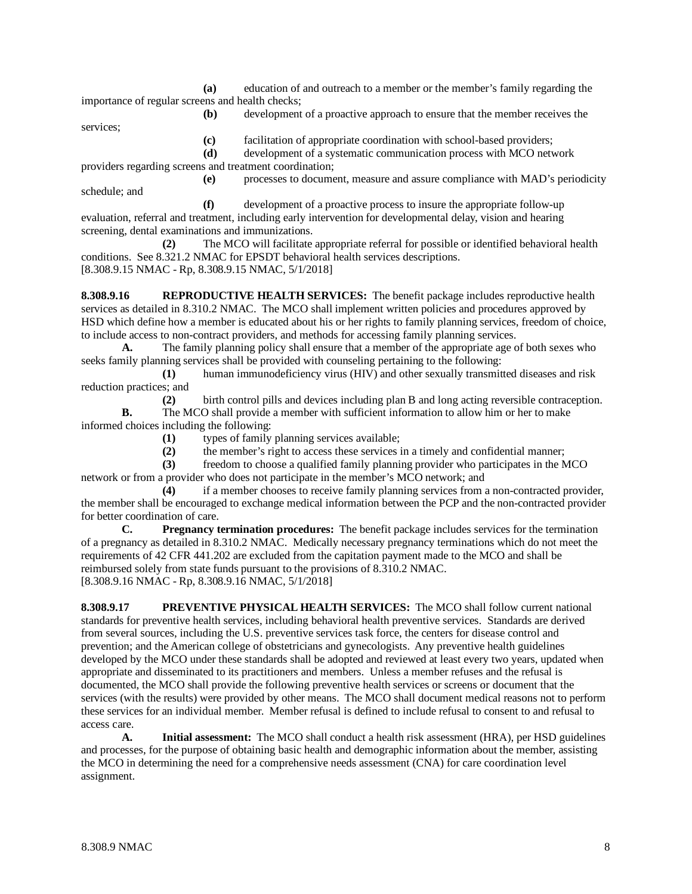**(a)** education of and outreach to a member or the member's family regarding the importance of regular screens and health checks; **(b)** development of a proactive approach to ensure that the member receives the

services;

**(c)** facilitation of appropriate coordination with school-based providers; **(d)** development of a systematic communication process with MCO network

providers regarding screens and treatment coordination;

**(e)** processes to document, measure and assure compliance with MAD's periodicity schedule; and

**(f)** development of a proactive process to insure the appropriate follow-up evaluation, referral and treatment, including early intervention for developmental delay, vision and hearing screening, dental examinations and immunizations.

**(2)** The MCO will facilitate appropriate referral for possible or identified behavioral health conditions. See 8.321.2 NMAC for EPSDT behavioral health services descriptions. [8.308.9.15 NMAC - Rp, 8.308.9.15 NMAC, 5/1/2018]

**8.308.9.16 REPRODUCTIVE HEALTH SERVICES:** The benefit package includes reproductive health services as detailed in 8.310.2 NMAC. The MCO shall implement written policies and procedures approved by HSD which define how a member is educated about his or her rights to family planning services, freedom of choice, to include access to non-contract providers, and methods for accessing family planning services.

**A.** The family planning policy shall ensure that a member of the appropriate age of both sexes who seeks family planning services shall be provided with counseling pertaining to the following:

**(1)** human immunodeficiency virus (HIV) and other sexually transmitted diseases and risk reduction practices; and

**(2)** birth control pills and devices including plan B and long acting reversible contraception. **B.** The MCO shall provide a member with sufficient information to allow him or her to make

informed choices including the following:

**(1)** types of family planning services available;

**(2)** the member's right to access these services in a timely and confidential manner;

**(3)** freedom to choose a qualified family planning provider who participates in the MCO network or from a provider who does not participate in the member's MCO network; and

**(4)** if a member chooses to receive family planning services from a non-contracted provider, the member shall be encouraged to exchange medical information between the PCP and the non-contracted provider for better coordination of care.

**C. Pregnancy termination procedures:** The benefit package includes services for the termination of a pregnancy as detailed in 8.310.2 NMAC. Medically necessary pregnancy terminations which do not meet the requirements of 42 CFR 441.202 are excluded from the capitation payment made to the MCO and shall be reimbursed solely from state funds pursuant to the provisions of 8.310.2 NMAC. [8.308.9.16 NMAC - Rp, 8.308.9.16 NMAC, 5/1/2018]

**8.308.9.17 PREVENTIVE PHYSICAL HEALTH SERVICES:** The MCO shall follow current national standards for preventive health services, including behavioral health preventive services. Standards are derived from several sources, including the U.S. preventive services task force, the centers for disease control and prevention; and the American college of obstetricians and gynecologists. Any preventive health guidelines developed by the MCO under these standards shall be adopted and reviewed at least every two years, updated when appropriate and disseminated to its practitioners and members. Unless a member refuses and the refusal is documented, the MCO shall provide the following preventive health services or screens or document that the services (with the results) were provided by other means. The MCO shall document medical reasons not to perform these services for an individual member. Member refusal is defined to include refusal to consent to and refusal to access care.

**A. Initial assessment:** The MCO shall conduct a health risk assessment (HRA), per HSD guidelines and processes, for the purpose of obtaining basic health and demographic information about the member, assisting the MCO in determining the need for a comprehensive needs assessment (CNA) for care coordination level assignment.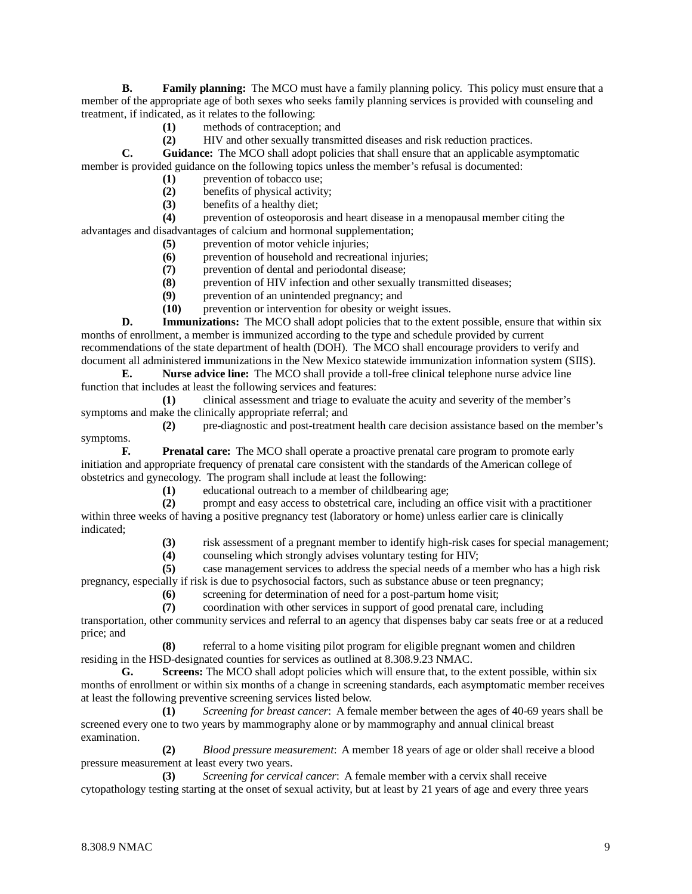**B. Family planning:** The MCO must have a family planning policy. This policy must ensure that a member of the appropriate age of both sexes who seeks family planning services is provided with counseling and treatment, if indicated, as it relates to the following:

- **(1)** methods of contraception; and
- **(2)** HIV and other sexually transmitted diseases and risk reduction practices.

**C. Guidance:** The MCO shall adopt policies that shall ensure that an applicable asymptomatic member is provided guidance on the following topics unless the member's refusal is documented:

- (1) prevention of tobacco use;<br>(2) benefits of physical activity
- (2) benefits of physical activity;<br>(3) benefits of a healthy diet;
- **(3)** benefits of a healthy diet;

**(4)** prevention of osteoporosis and heart disease in a menopausal member citing the advantages and disadvantages of calcium and hormonal supplementation;

- **(5)** prevention of motor vehicle injuries;
- **(6)** prevention of household and recreational injuries;
- **(7)** prevention of dental and periodontal disease;
- **(8)** prevention of HIV infection and other sexually transmitted diseases;
- **(9)** prevention of an unintended pregnancy; and
- **(10)** prevention or intervention for obesity or weight issues.

**D. Immunizations:** The MCO shall adopt policies that to the extent possible, ensure that within six months of enrollment, a member is immunized according to the type and schedule provided by current recommendations of the state department of health (DOH). The MCO shall encourage providers to verify and document all administered immunizations in the New Mexico statewide immunization information system (SIIS).

**E. Nurse advice line:** The MCO shall provide a toll-free clinical telephone nurse advice line function that includes at least the following services and features:

**(1)** clinical assessment and triage to evaluate the acuity and severity of the member's symptoms and make the clinically appropriate referral; and

**(2)** pre-diagnostic and post-treatment health care decision assistance based on the member's symptoms.

**F. Prenatal care:** The MCO shall operate a proactive prenatal care program to promote early initiation and appropriate frequency of prenatal care consistent with the standards of the American college of obstetrics and gynecology. The program shall include at least the following:

**(1)** educational outreach to a member of childbearing age;

**(2)** prompt and easy access to obstetrical care, including an office visit with a practitioner within three weeks of having a positive pregnancy test (laboratory or home) unless earlier care is clinically indicated;

**(3)** risk assessment of a pregnant member to identify high-risk cases for special management;

**(4)** counseling which strongly advises voluntary testing for HIV;

**(5)** case management services to address the special needs of a member who has a high risk pregnancy, especially if risk is due to psychosocial factors, such as substance abuse or teen pregnancy;

**(6)** screening for determination of need for a post-partum home visit;

**(7)** coordination with other services in support of good prenatal care, including

transportation, other community services and referral to an agency that dispenses baby car seats free or at a reduced price; and

**(8)** referral to a home visiting pilot program for eligible pregnant women and children residing in the HSD-designated counties for services as outlined at 8.308.9.23 NMAC.

**G. Screens:** The MCO shall adopt policies which will ensure that, to the extent possible, within six months of enrollment or within six months of a change in screening standards, each asymptomatic member receives at least the following preventive screening services listed below.

**(1)** *Screening for breast cancer*: A female member between the ages of 40-69 years shall be screened every one to two years by mammography alone or by mammography and annual clinical breast examination.

**(2)** *Blood pressure measurement*: A member 18 years of age or older shall receive a blood pressure measurement at least every two years.

**(3)** *Screening for cervical cancer*: A female member with a cervix shall receive cytopathology testing starting at the onset of sexual activity, but at least by 21 years of age and every three years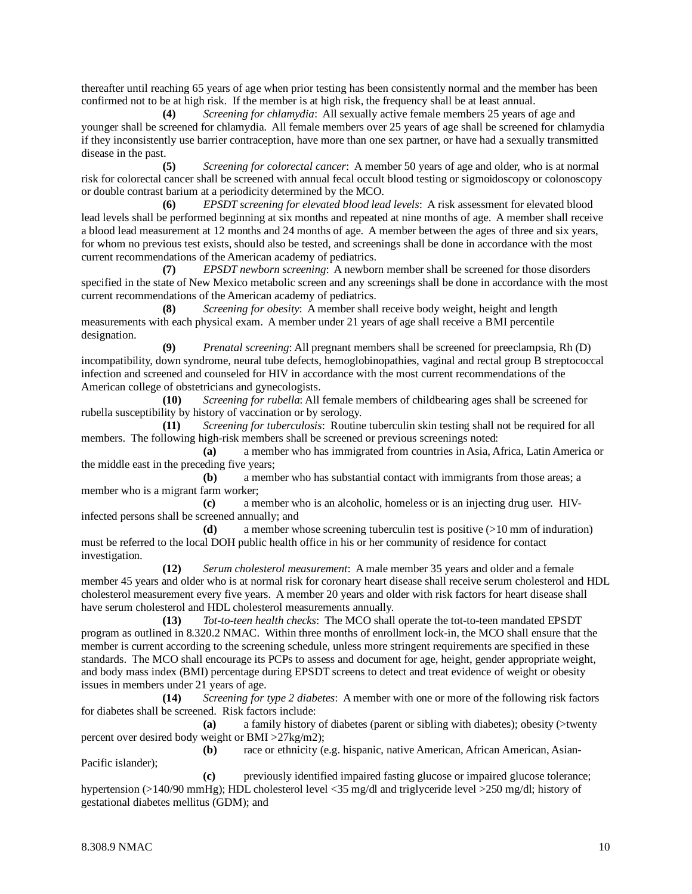thereafter until reaching 65 years of age when prior testing has been consistently normal and the member has been confirmed not to be at high risk. If the member is at high risk, the frequency shall be at least annual.

**(4)** *Screening for chlamydia*: All sexually active female members 25 years of age and younger shall be screened for chlamydia. All female members over 25 years of age shall be screened for chlamydia if they inconsistently use barrier contraception, have more than one sex partner, or have had a sexually transmitted disease in the past.

**(5)** *Screening for colorectal cancer*: A member 50 years of age and older, who is at normal risk for colorectal cancer shall be screened with annual fecal occult blood testing or sigmoidoscopy or colonoscopy or double contrast barium at a periodicity determined by the MCO.

**(6)** *EPSDT screening for elevated blood lead levels*: A risk assessment for elevated blood lead levels shall be performed beginning at six months and repeated at nine months of age. A member shall receive a blood lead measurement at 12 months and 24 months of age. A member between the ages of three and six years, for whom no previous test exists, should also be tested, and screenings shall be done in accordance with the most current recommendations of the American academy of pediatrics.

**(7)** *EPSDT newborn screening*: A newborn member shall be screened for those disorders specified in the state of New Mexico metabolic screen and any screenings shall be done in accordance with the most current recommendations of the American academy of pediatrics.

**(8)** *Screening for obesity*: A member shall receive body weight, height and length measurements with each physical exam. A member under 21 years of age shall receive a BMI percentile designation.

**(9)** *Prenatal screening*: All pregnant members shall be screened for preeclampsia, Rh (D) incompatibility, down syndrome, neural tube defects, hemoglobinopathies, vaginal and rectal group B streptococcal infection and screened and counseled for HIV in accordance with the most current recommendations of the American college of obstetricians and gynecologists.

**(10)** *Screening for rubella*: All female members of childbearing ages shall be screened for rubella susceptibility by history of vaccination or by serology.

**(11)** *Screening for tuberculosis*: Routine tuberculin skin testing shall not be required for all members. The following high-risk members shall be screened or previous screenings noted:

**(a)** a member who has immigrated from countries in Asia, Africa, Latin America or the middle east in the preceding five years;

**(b)** a member who has substantial contact with immigrants from those areas; a member who is a migrant farm worker;

**(c)** a member who is an alcoholic, homeless or is an injecting drug user. HIVinfected persons shall be screened annually; and

**(d)** a member whose screening tuberculin test is positive (>10 mm of induration) must be referred to the local DOH public health office in his or her community of residence for contact investigation.

**(12)** *Serum cholesterol measurement*: A male member 35 years and older and a female member 45 years and older who is at normal risk for coronary heart disease shall receive serum cholesterol and HDL cholesterol measurement every five years. A member 20 years and older with risk factors for heart disease shall have serum cholesterol and HDL cholesterol measurements annually.

**(13)** *Tot-to-teen health checks*: The MCO shall operate the tot-to-teen mandated EPSDT program as outlined in 8.320.2 NMAC. Within three months of enrollment lock-in, the MCO shall ensure that the member is current according to the screening schedule, unless more stringent requirements are specified in these standards. The MCO shall encourage its PCPs to assess and document for age, height, gender appropriate weight, and body mass index (BMI) percentage during EPSDT screens to detect and treat evidence of weight or obesity issues in members under 21 years of age.

**(14)** *Screening for type 2 diabetes*: A member with one or more of the following risk factors for diabetes shall be screened. Risk factors include:

**(a)** a family history of diabetes (parent or sibling with diabetes); obesity (>twenty percent over desired body weight or BMI >27kg/m2);

**(b)** race or ethnicity (e.g. hispanic, native American, African American, Asian-Pacific islander);

**(c)** previously identified impaired fasting glucose or impaired glucose tolerance; hypertension (>140/90 mmHg); HDL cholesterol level <35 mg/dl and triglyceride level >250 mg/dl; history of gestational diabetes mellitus (GDM); and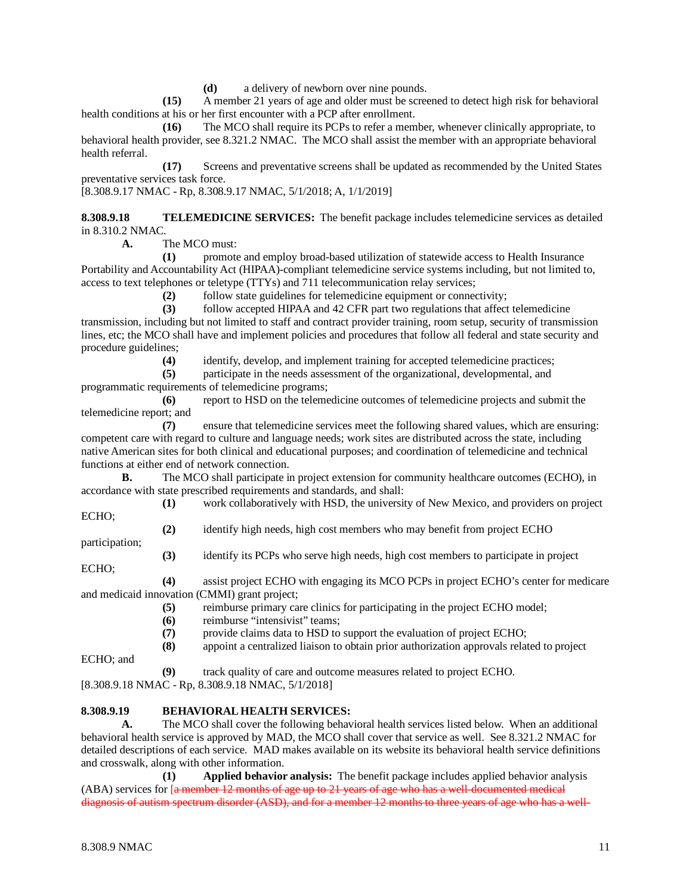**(d)** a delivery of newborn over nine pounds.

**(15)** A member 21 years of age and older must be screened to detect high risk for behavioral health conditions at his or her first encounter with a PCP after enrollment.

**(16)** The MCO shall require its PCPs to refer a member, whenever clinically appropriate, to behavioral health provider, see 8.321.2 NMAC. The MCO shall assist the member with an appropriate behavioral health referral.

**(17)** Screens and preventative screens shall be updated as recommended by the United States preventative services task force.

[8.308.9.17 NMAC - Rp, 8.308.9.17 NMAC, 5/1/2018; A, 1/1/2019]

**8.308.9.18 TELEMEDICINE SERVICES:** The benefit package includes telemedicine services as detailed in 8.310.2 NMAC*.*

**A.** The MCO must:

**(1)** promote and employ broad-based utilization of statewide access to Health Insurance Portability and Accountability Act (HIPAA)-compliant telemedicine service systems including, but not limited to, access to text telephones or teletype (TTYs) and 711 telecommunication relay services;

**(2)** follow state guidelines for telemedicine equipment or connectivity;

**(3)** follow accepted HIPAA and 42 CFR part two regulations that affect telemedicine transmission, including but not limited to staff and contract provider training, room setup, security of transmission lines, etc; the MCO shall have and implement policies and procedures that follow all federal and state security and procedure guidelines;

**(4)** identify, develop, and implement training for accepted telemedicine practices;

**(5)** participate in the needs assessment of the organizational, developmental, and

programmatic requirements of telemedicine programs;

**(6)** report to HSD on the telemedicine outcomes of telemedicine projects and submit the telemedicine report; and

**(7)** ensure that telemedicine services meet the following shared values, which are ensuring: competent care with regard to culture and language needs; work sites are distributed across the state, including native American sites for both clinical and educational purposes; and coordination of telemedicine and technical functions at either end of network connection.

**B.** The MCO shall participate in project extension for community healthcare outcomes (ECHO), in accordance with state prescribed requirements and standards, and shall:

**(1)** work collaboratively with HSD, the university of New Mexico, and providers on project ECHO;

**(2)** identify high needs, high cost members who may benefit from project ECHO

**(3)** identify its PCPs who serve high needs, high cost members to participate in project

ECHO;

participation;

**(4)** assist project ECHO with engaging its MCO PCPs in project ECHO's center for medicare and medicaid innovation (CMMI) grant project;

(5) reimburse primary care clinics for participating in the project ECHO model;<br>(6) reimburse "intensivist" teams:

**(6)** reimburse "intensivist" teams;<br>(7) provide claims data to HSD to **(7)** provide claims data to HSD to support the evaluation of project ECHO;

**(8)** appoint a centralized liaison to obtain prior authorization approvals related to project

ECHO; and

**(9)** track quality of care and outcome measures related to project ECHO.

[8.308.9.18 NMAC - Rp, 8.308.9.18 NMAC, 5/1/2018]

#### **8.308.9.19 BEHAVIORAL HEALTH SERVICES:**

**A.** The MCO shall cover the following behavioral health services listed below. When an additional behavioral health service is approved by MAD, the MCO shall cover that service as well. See 8.321.2 NMAC for detailed descriptions of each service. MAD makes available on its website its behavioral health service definitions and crosswalk, along with other information.

**(1) Applied behavior analysis:** The benefit package includes applied behavior analysis (ABA) services for [a member 12 months of age up to 21 years of age who has a well-documented medical diagnosis of autism spectrum disorder (ASD), and for a member 12 months to three years of age who has a well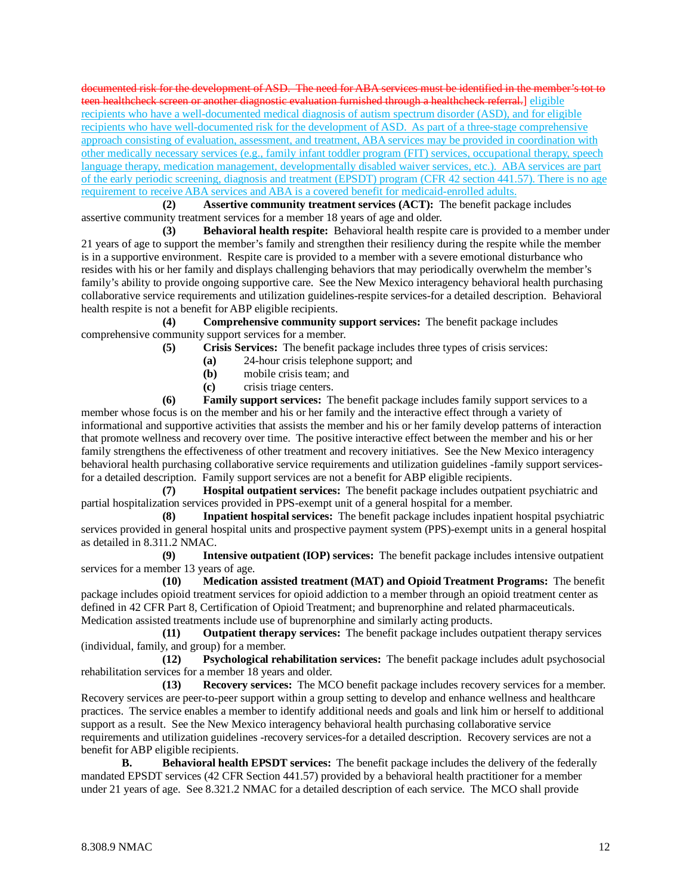documented risk for the development of ASD. The need for ABA services must be identified in the member's tot to teen healthcheck screen or another diagnostic evaluation furnished through a healthcheck referral.] eligible recipients who have a well-documented medical diagnosis of autism spectrum disorder (ASD), and for eligible recipients who have well-documented risk for the development of ASD. As part of a three-stage comprehensive approach consisting of evaluation, assessment, and treatment, ABA services may be provided in coordination with other medically necessary services (e.g., family infant toddler program (FIT) services, occupational therapy, speech language therapy, medication management, developmentally disabled waiver services, etc.). ABA services are part of the early periodic screening, diagnosis and treatment (EPSDT) program (CFR 42 section 441.57). There is no age requirement to receive ABA services and ABA is a covered benefit for medicaid-enrolled adults.

**(2) Assertive community treatment services (ACT):** The benefit package includes assertive community treatment services for a member 18 years of age and older.

**(3) Behavioral health respite:** Behavioral health respite care is provided to a member under 21 years of age to support the member's family and strengthen their resiliency during the respite while the member is in a supportive environment. Respite care is provided to a member with a severe emotional disturbance who resides with his or her family and displays challenging behaviors that may periodically overwhelm the member's family's ability to provide ongoing supportive care. See the New Mexico interagency behavioral health purchasing collaborative service requirements and utilization guidelines-respite services-for a detailed description. Behavioral health respite is not a benefit for ABP eligible recipients.

**(4) Comprehensive community support services:** The benefit package includes comprehensive community support services for a member.

**(5) Crisis Services:** The benefit package includes three types of crisis services:

- **(a)** 24-hour crisis telephone support; and
- **(b)** mobile crisis team; and
- **(c)** crisis triage centers.

**(6) Family support services:** The benefit package includes family support services to a member whose focus is on the member and his or her family and the interactive effect through a variety of informational and supportive activities that assists the member and his or her family develop patterns of interaction that promote wellness and recovery over time. The positive interactive effect between the member and his or her family strengthens the effectiveness of other treatment and recovery initiatives. See the New Mexico interagency behavioral health purchasing collaborative service requirements and utilization guidelines -family support servicesfor a detailed description. Family support services are not a benefit for ABP eligible recipients.

**(7) Hospital outpatient services:** The benefit package includes outpatient psychiatric and partial hospitalization services provided in PPS-exempt unit of a general hospital for a member.

**(8) Inpatient hospital services:** The benefit package includes inpatient hospital psychiatric services provided in general hospital units and prospective payment system (PPS)-exempt units in a general hospital as detailed in 8.311.2 NMAC.

**(9) Intensive outpatient (IOP) services:** The benefit package includes intensive outpatient services for a member 13 years of age.

**(10) Medication assisted treatment (MAT) and Opioid Treatment Programs:** The benefit package includes opioid treatment services for opioid addiction to a member through an opioid treatment center as defined in 42 CFR Part 8, Certification of Opioid Treatment; and buprenorphine and related pharmaceuticals. Medication assisted treatments include use of buprenorphine and similarly acting products.

**(11) Outpatient therapy services:** The benefit package includes outpatient therapy services (individual, family, and group) for a member.

**(12) Psychological rehabilitation services:** The benefit package includes adult psychosocial rehabilitation services for a member 18 years and older.

**(13) Recovery services:** The MCO benefit package includes recovery services for a member. Recovery services are peer-to-peer support within a group setting to develop and enhance wellness and healthcare practices. The service enables a member to identify additional needs and goals and link him or herself to additional support as a result. See the New Mexico interagency behavioral health purchasing collaborative service requirements and utilization guidelines -recovery services-for a detailed description. Recovery services are not a benefit for ABP eligible recipients.

**B. Behavioral health EPSDT services:** The benefit package includes the delivery of the federally mandated EPSDT services (42 CFR Section 441.57) provided by a behavioral health practitioner for a member under 21 years of age. See 8.321.2 NMAC for a detailed description of each service. The MCO shall provide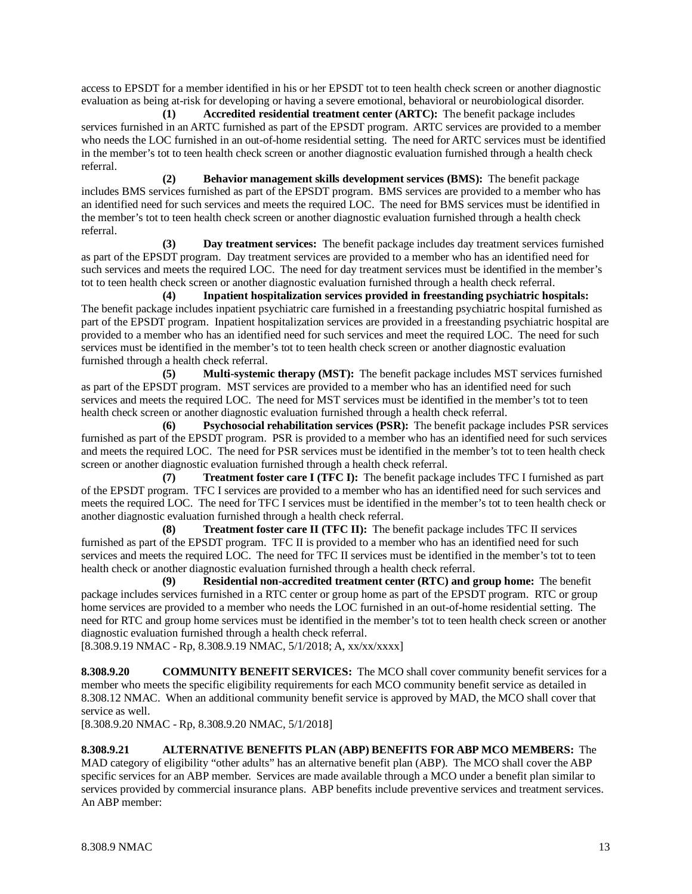access to EPSDT for a member identified in his or her EPSDT tot to teen health check screen or another diagnostic evaluation as being at-risk for developing or having a severe emotional, behavioral or neurobiological disorder.

**(1) Accredited residential treatment center (ARTC):** The benefit package includes services furnished in an ARTC furnished as part of the EPSDT program. ARTC services are provided to a member who needs the LOC furnished in an out-of-home residential setting. The need for ARTC services must be identified in the member's tot to teen health check screen or another diagnostic evaluation furnished through a health check referral.

**(2) Behavior management skills development services (BMS):** The benefit package includes BMS services furnished as part of the EPSDT program. BMS services are provided to a member who has an identified need for such services and meets the required LOC. The need for BMS services must be identified in the member's tot to teen health check screen or another diagnostic evaluation furnished through a health check referral.

**(3) Day treatment services:** The benefit package includes day treatment services furnished as part of the EPSDT program. Day treatment services are provided to a member who has an identified need for such services and meets the required LOC. The need for day treatment services must be identified in the member's tot to teen health check screen or another diagnostic evaluation furnished through a health check referral.

**(4) Inpatient hospitalization services provided in freestanding psychiatric hospitals:** The benefit package includes inpatient psychiatric care furnished in a freestanding psychiatric hospital furnished as part of the EPSDT program. Inpatient hospitalization services are provided in a freestanding psychiatric hospital are provided to a member who has an identified need for such services and meet the required LOC. The need for such services must be identified in the member's tot to teen health check screen or another diagnostic evaluation furnished through a health check referral.

**(5) Multi-systemic therapy (MST):** The benefit package includes MST services furnished as part of the EPSDT program. MST services are provided to a member who has an identified need for such services and meets the required LOC. The need for MST services must be identified in the member's tot to teen health check screen or another diagnostic evaluation furnished through a health check referral.

**(6) Psychosocial rehabilitation services (PSR):** The benefit package includes PSR services furnished as part of the EPSDT program. PSR is provided to a member who has an identified need for such services and meets the required LOC. The need for PSR services must be identified in the member's tot to teen health check screen or another diagnostic evaluation furnished through a health check referral.

**(7) Treatment foster care I (TFC I):** The benefit package includes TFC I furnished as part of the EPSDT program. TFC I services are provided to a member who has an identified need for such services and meets the required LOC. The need for TFC I services must be identified in the member's tot to teen health check or another diagnostic evaluation furnished through a health check referral.

**(8) Treatment foster care II (TFC II):** The benefit package includes TFC II services furnished as part of the EPSDT program. TFC II is provided to a member who has an identified need for such services and meets the required LOC. The need for TFC II services must be identified in the member's tot to teen health check or another diagnostic evaluation furnished through a health check referral.

**(9) Residential non-accredited treatment center (RTC) and group home:** The benefit package includes services furnished in a RTC center or group home as part of the EPSDT program. RTC or group home services are provided to a member who needs the LOC furnished in an out-of-home residential setting. The need for RTC and group home services must be identified in the member's tot to teen health check screen or another diagnostic evaluation furnished through a health check referral.

[8.308.9.19 NMAC - Rp, 8.308.9.19 NMAC, 5/1/2018; A, xx/xx/xxxx]

**8.308.9.20 COMMUNITY BENEFIT SERVICES:** The MCO shall cover community benefit services for a member who meets the specific eligibility requirements for each MCO community benefit service as detailed in 8.308.12 NMAC. When an additional community benefit service is approved by MAD, the MCO shall cover that service as well.

[8.308.9.20 NMAC - Rp, 8.308.9.20 NMAC, 5/1/2018]

**8.308.9.21 ALTERNATIVE BENEFITS PLAN (ABP) BENEFITS FOR ABP MCO MEMBERS:** The MAD category of eligibility "other adults" has an alternative benefit plan (ABP). The MCO shall cover the ABP specific services for an ABP member. Services are made available through a MCO under a benefit plan similar to services provided by commercial insurance plans. ABP benefits include preventive services and treatment services. An ABP member: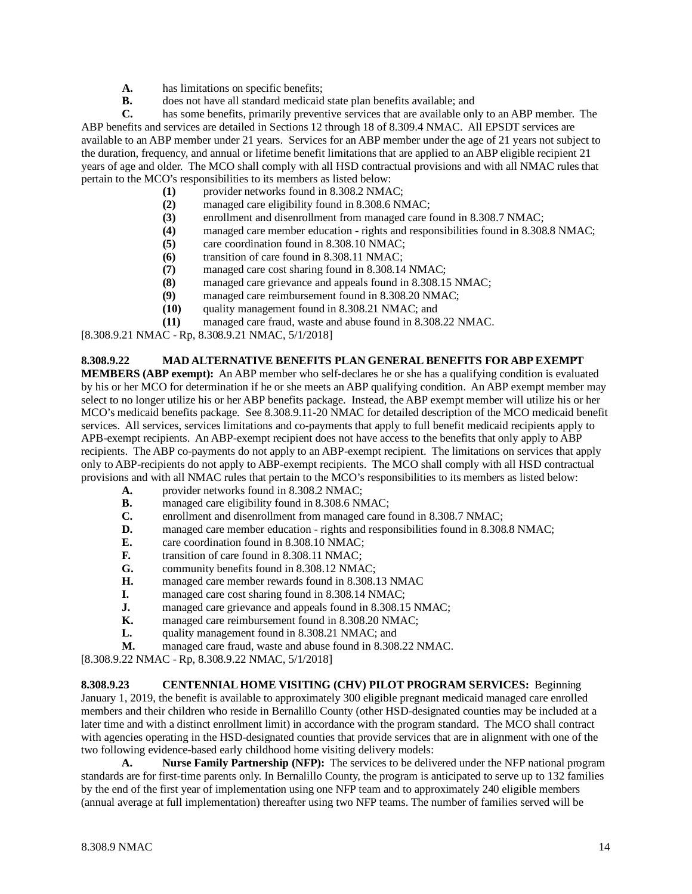- **A.** has limitations on specific benefits;
- **B.** does not have all standard medicaid state plan benefits available; and **C.** has some benefits, primarily preventive services that are available only

has some benefits, primarily preventive services that are available only to an ABP member. The ABP benefits and services are detailed in Sections 12 through 18 of 8.309.4 NMAC. All EPSDT services are available to an ABP member under 21 years. Services for an ABP member under the age of 21 years not subject to the duration, frequency, and annual or lifetime benefit limitations that are applied to an ABP eligible recipient 21 years of age and older. The MCO shall comply with all HSD contractual provisions and with all NMAC rules that pertain to the MCO's responsibilities to its members as listed below:

- (1) provider networks found in 8.308.2 NMAC;<br>(2) managed care eligibility found in 8.308.6 NM
- managed care eligibility found in 8.308.6 NMAC;
- **(3)** enrollment and disenrollment from managed care found in 8.308.7 NMAC;
- (4) managed care member education rights and responsibilities found in 8.308.8 NMAC;<br>(5) care coordination found in 8.308.10 NMAC;
- **(5)** care coordination found in 8.308.10 NMAC;
- **(6)** transition of care found in 8.308.11 NMAC;
- **(7)** managed care cost sharing found in 8.308.14 NMAC;
- managed care grievance and appeals found in 8.308.15 NMAC;
- **(9)** managed care reimbursement found in 8.308.20 NMAC;
- **(10)** quality management found in 8.308.21 NMAC; and
- **(11)** managed care fraud, waste and abuse found in 8.308.22 NMAC.

[8.308.9.21 NMAC - Rp, 8.308.9.21 NMAC, 5/1/2018]

#### **8.308.9.22 MAD ALTERNATIVE BENEFITS PLAN GENERAL BENEFITS FOR ABP EXEMPT**

**MEMBERS (ABP exempt):** An ABP member who self-declares he or she has a qualifying condition is evaluated by his or her MCO for determination if he or she meets an ABP qualifying condition. An ABP exempt member may select to no longer utilize his or her ABP benefits package. Instead, the ABP exempt member will utilize his or her MCO's medicaid benefits package. See 8.308.9.11-20 NMAC for detailed description of the MCO medicaid benefit services. All services, services limitations and co-payments that apply to full benefit medicaid recipients apply to APB-exempt recipients. An ABP-exempt recipient does not have access to the benefits that only apply to ABP recipients. The ABP co-payments do not apply to an ABP-exempt recipient. The limitations on services that apply only to ABP-recipients do not apply to ABP-exempt recipients. The MCO shall comply with all HSD contractual provisions and with all NMAC rules that pertain to the MCO's responsibilities to its members as listed below:

- **A.** provider networks found in 8.308.2 NMAC;
- **B.** managed care eligibility found in 8.308.6 NMAC;<br>**C.** enrollment and disenrollment from managed care f
- **C.** enrollment and disenrollment from managed care found in 8.308.7 NMAC;<br>**D.** managed care member education rights and responsibilities found in 8.308
- **D.** managed care member education rights and responsibilities found in 8.308.8 NMAC;<br>**E.** care coordination found in 8.308.10 NMAC:
- **E.** care coordination found in 8.308.10 NMAC;
- **F.** transition of care found in 8.308.11 NMAC;
- **G.** community benefits found in 8.308.12 NMAC;
- **H.** managed care member rewards found in 8.308.13 NMAC
- **I.** managed care cost sharing found in 8.308.14 NMAC;
- **J.** managed care grievance and appeals found in 8.308.15 NMAC;<br>**K.** managed care reimbursement found in 8.308.20 NMAC:
- **K.** managed care reimbursement found in 8.308.20 NMAC;<br>
L. quality management found in 8.308.21 NMAC; and
- quality management found in 8.308.21 NMAC; and
- **M.** managed care fraud, waste and abuse found in 8.308.22 NMAC.

[8.308.9.22 NMAC - Rp, 8.308.9.22 NMAC, 5/1/2018]

# **8.308.9.23 CENTENNIAL HOME VISITING (CHV) PILOT PROGRAM SERVICES:** Beginning

January 1, 2019, the benefit is available to approximately 300 eligible pregnant medicaid managed care enrolled members and their children who reside in Bernalillo County (other HSD-designated counties may be included at a later time and with a distinct enrollment limit) in accordance with the program standard. The MCO shall contract with agencies operating in the HSD-designated counties that provide services that are in alignment with one of the two following evidence-based early childhood home visiting delivery models:

**A. Nurse Family Partnership (NFP):** The services to be delivered under the NFP national program standards are for first-time parents only. In Bernalillo County, the program is anticipated to serve up to 132 families by the end of the first year of implementation using one NFP team and to approximately 240 eligible members (annual average at full implementation) thereafter using two NFP teams. The number of families served will be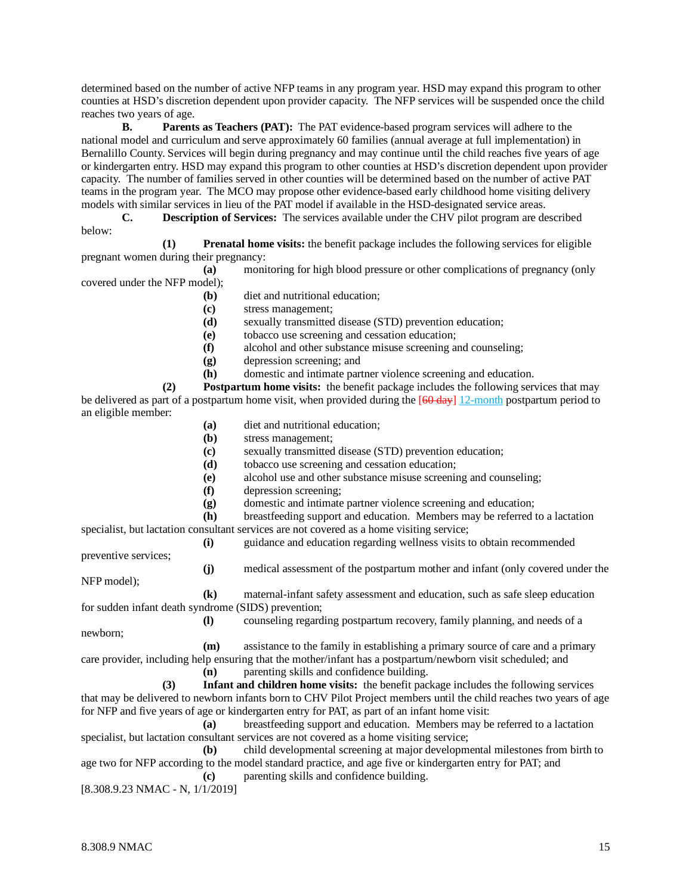determined based on the number of active NFP teams in any program year. HSD may expand this program to other counties at HSD's discretion dependent upon provider capacity. The NFP services will be suspended once the child reaches two years of age.

**B. Parents as Teachers (PAT):** The PAT evidence-based program services will adhere to the national model and curriculum and serve approximately 60 families (annual average at full implementation) in Bernalillo County. Services will begin during pregnancy and may continue until the child reaches five years of age or kindergarten entry. HSD may expand this program to other counties at HSD's discretion dependent upon provider capacity. The number of families served in other counties will be determined based on the number of active PAT teams in the program year. The MCO may propose other evidence-based early childhood home visiting delivery models with similar services in lieu of the PAT model if available in the HSD-designated service areas.

**C. Description of Services:** The services available under the CHV pilot program are described below:

**(1) Prenatal home visits:** the benefit package includes the following services for eligible pregnant women during their pregnancy:

**(a)** monitoring for high blood pressure or other complications of pregnancy (only covered under the NFP model);

- **(b)** diet and nutritional education;
- **(c)** stress management;
- **(d)** sexually transmitted disease (STD) prevention education;
- **(e)** tobacco use screening and cessation education;
- **(f)** alcohol and other substance misuse screening and counseling;
- **(g)** depression screening; and
- **(h)** domestic and intimate partner violence screening and education.

**(2) Postpartum home visits:** the benefit package includes the following services that may be delivered as part of a postpartum home visit, when provided during the  $[60 \text{ day}]$  12-month postpartum period to an eligible member:

- **(a)** diet and nutritional education;
- **(b)** stress management;
- **(c)** sexually transmitted disease (STD) prevention education;
- **(d)** tobacco use screening and cessation education;
- **(e)** alcohol use and other substance misuse screening and counseling;
- **(f)** depression screening;
- **(g)** domestic and intimate partner violence screening and education;

**(h)** breastfeeding support and education. Members may be referred to a lactation

specialist, but lactation consultant services are not covered as a home visiting service;

**(i)** guidance and education regarding wellness visits to obtain recommended

preventive services;

**(j)** medical assessment of the postpartum mother and infant (only covered under the

NFP model);

**(k)** maternal-infant safety assessment and education, such as safe sleep education for sudden infant death syndrome (SIDS) prevention;

**(l)** counseling regarding postpartum recovery, family planning, and needs of a

newborn;

**(m)** assistance to the family in establishing a primary source of care and a primary care provider, including help ensuring that the mother/infant has a postpartum/newborn visit scheduled; and

**(n)** parenting skills and confidence building.

**(3) Infant and children home visits:** the benefit package includes the following services that may be delivered to newborn infants born to CHV Pilot Project members until the child reaches two years of age for NFP and five years of age or kindergarten entry for PAT, as part of an infant home visit:

**(a)** breastfeeding support and education. Members may be referred to a lactation specialist, but lactation consultant services are not covered as a home visiting service;

**(b)** child developmental screening at major developmental milestones from birth to age two for NFP according to the model standard practice, and age five or kindergarten entry for PAT; and **(c)** parenting skills and confidence building.

[8.308.9.23 NMAC - N, 1/1/2019]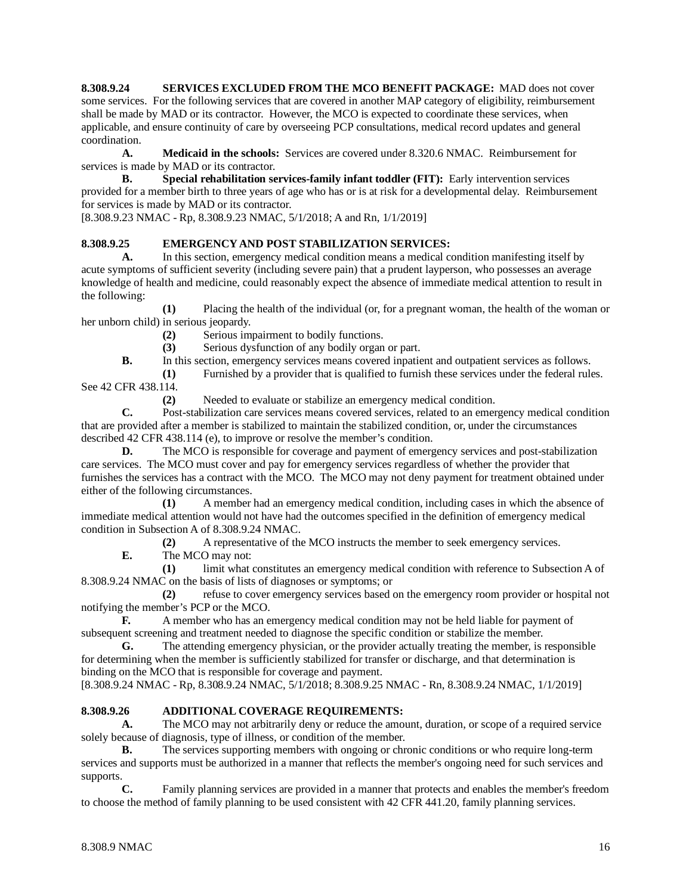**8.308.9.24 SERVICES EXCLUDED FROM THE MCO BENEFIT PACKAGE:** MAD does not cover some services. For the following services that are covered in another MAP category of eligibility, reimbursement shall be made by MAD or its contractor. However, the MCO is expected to coordinate these services, when applicable, and ensure continuity of care by overseeing PCP consultations, medical record updates and general coordination.

**A. Medicaid in the schools:** Services are covered under 8.320.6 NMAC. Reimbursement for services is made by MAD or its contractor.

**B. Special rehabilitation services-family infant toddler (FIT):** Early intervention services provided for a member birth to three years of age who has or is at risk for a developmental delay. Reimbursement for services is made by MAD or its contractor.

[8.308.9.23 NMAC - Rp, 8.308.9.23 NMAC, 5/1/2018; A and Rn, 1/1/2019]

## **8.308.9.25 EMERGENCY AND POST STABILIZATION SERVICES:**

**A.** In this section, emergency medical condition means a medical condition manifesting itself by acute symptoms of sufficient severity (including severe pain) that a prudent layperson, who possesses an average knowledge of health and medicine, could reasonably expect the absence of immediate medical attention to result in the following:

**(1)** Placing the health of the individual (or, for a pregnant woman, the health of the woman or her unborn child) in serious jeopardy.

- **(2)** Serious impairment to bodily functions.
- **(3)** Serious dysfunction of any bodily organ or part.

**B.** In this section, emergency services means covered inpatient and outpatient services as follows.

**(1)** Furnished by a provider that is qualified to furnish these services under the federal rules.

See 42 CFR 438.114.

**(2)** Needed to evaluate or stabilize an emergency medical condition.

**C.** Post-stabilization care services means covered services, related to an emergency medical condition that are provided after a member is stabilized to maintain the stabilized condition, or, under the circumstances described 42 CFR 438.114 (e), to improve or resolve the member's condition.

**D.** The MCO is responsible for coverage and payment of emergency services and post-stabilization care services. The MCO must cover and pay for emergency services regardless of whether the provider that furnishes the services has a contract with the MCO. The MCO may not deny payment for treatment obtained under either of the following circumstances.

**(1)** A member had an emergency medical condition, including cases in which the absence of immediate medical attention would not have had the outcomes specified in the definition of emergency medical condition in Subsection A of 8.308.9.24 NMAC.

**(2)** A representative of the MCO instructs the member to seek emergency services.

**E.** The MCO may not:

**(1)** limit what constitutes an emergency medical condition with reference to Subsection A of 8.308.9.24 NMAC on the basis of lists of diagnoses or symptoms; or

**(2)** refuse to cover emergency services based on the emergency room provider or hospital not notifying the member's PCP or the MCO.

**F.** A member who has an emergency medical condition may not be held liable for payment of subsequent screening and treatment needed to diagnose the specific condition or stabilize the member.

**G.** The attending emergency physician, or the provider actually treating the member, is responsible for determining when the member is sufficiently stabilized for transfer or discharge, and that determination is binding on the MCO that is responsible for coverage and payment.

[8.308.9.24 NMAC - Rp, 8.308.9.24 NMAC, 5/1/2018; 8.308.9.25 NMAC - Rn, 8.308.9.24 NMAC, 1/1/2019]

#### **8.308.9.26 ADDITIONAL COVERAGE REQUIREMENTS:**

**A.** The MCO may not arbitrarily deny or reduce the amount, duration, or scope of a required service solely because of diagnosis, type of illness, or condition of the member.

**B.** The services supporting members with ongoing or chronic conditions or who require long-term services and supports must be authorized in a manner that reflects the member's ongoing need for such services and supports.

**C.** Family planning services are provided in a manner that protects and enables the member's freedom to choose the method of family planning to be used consistent with 42 CFR 441.20, family planning services.